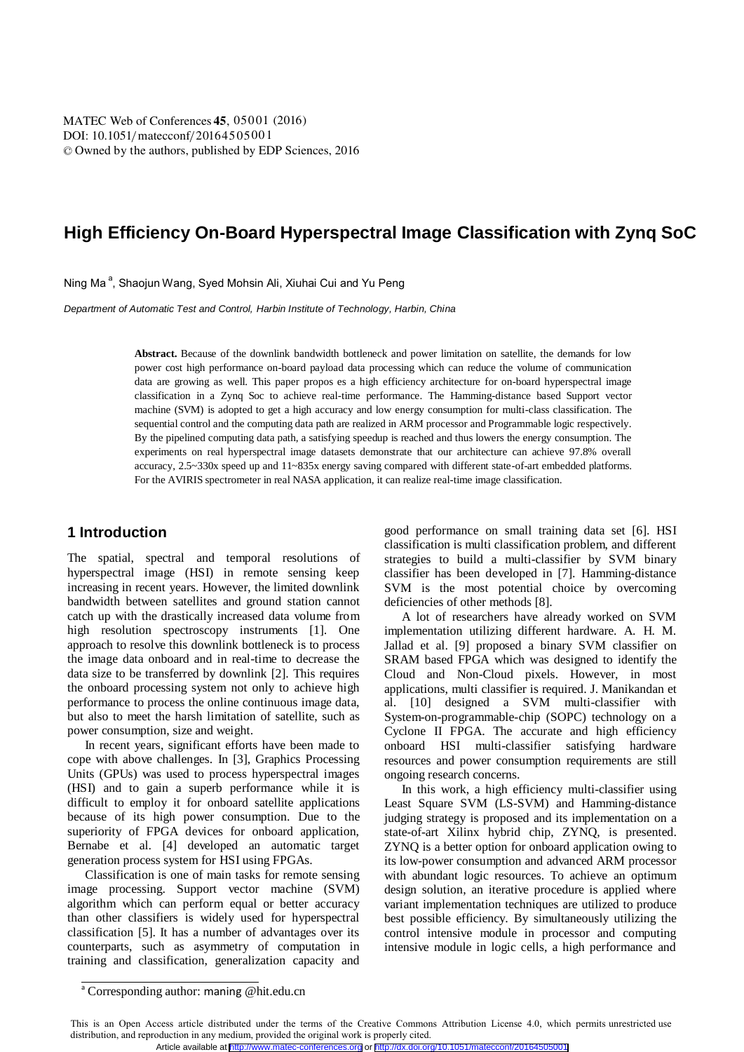[DOI: 10.1051](http://dx.doi.org/10.1051/matecconf/20164505001)/ matecconf/20164505001 -<sup>C</sup> Owned by the authors, published by [EDP Sciences](http://www.edpsciences.org), 201 6 **MATEC [Web of Conferences](http://www.matec-conferences.org) <b>45**, 05001 (2016)

# **High Efficiency On-Board Hyperspectral Image Classification with Zynq SoC**

Ning Ma<sup>a</sup>, Shaojun Wang, Syed Mohsin Ali, Xiuhai Cui and Yu Peng

*Department of Automatic Test and Control, Harbin Institute of Technology, Harbin, China*

**Abstract.** Because of the downlink bandwidth bottleneck and power limitation on satellite, the demands for low power cost high performance on-board payload data processing which can reduce the volume of communication data are growing as well. This paper propos es a high efficiency architecture for on-board hyperspectral image classification in a Zynq Soc to achieve real-time performance. The Hamming-distance based Support vector machine (SVM) is adopted to get a high accuracy and low energy consumption for multi-class classification. The sequential control and the computing data path are realized in ARM processor and Programmable logic respectively. By the pipelined computing data path, a satisfying speedup is reached and thus lowers the energy consumption. The experiments on real hyperspectral image datasets demonstrate that our architecture can achieve 97.8% overall accuracy, 2.5~330x speed up and 11~835x energy saving compared with different state-of-art embedded platforms. For the AVIRIS spectrometer in real NASA application, it can realize real-time image classification.

# **1 Introduction**

The spatial, spectral and temporal resolutions of hyperspectral image (HSI) in remote sensing keep increasing in recent years. However, the limited downlink bandwidth between satellites and ground station cannot catch up with the drastically increased data volume from high resolution spectroscopy instruments [1]. One approach to resolve this downlink bottleneck is to process the image data onboard and in real-time to decrease the data size to be transferred by downlink [2]. This requires the onboard processing system not only to achieve high performance to process the online continuous image data, but also to meet the harsh limitation of satellite, such as power consumption, size and weight.

In recent years, significant efforts have been made to cope with above challenges. In [3], Graphics Processing Units (GPUs) was used to process hyperspectral images (HSI) and to gain a superb performance while it is difficult to employ it for onboard satellite applications because of its high power consumption. Due to the superiority of FPGA devices for onboard application, Bernabe et al. [4] developed an automatic target generation process system for HSI using FPGAs.

Classification is one of main tasks for remote sensing image processing. Support vector machine (SVM) algorithm which can perform equal or better accuracy than other classifiers is widely used for hyperspectral classification [5]. It has a number of advantages over its counterparts, such as asymmetry of computation in training and classification, generalization capacity and

good performance on small training data set [6]. HSI classification is multi classification problem, and different strategies to build a multi-classifier by SVM binary classifier has been developed in [7]. Hamming-distance SVM is the most potential choice by overcoming deficiencies of other methods [8].

A lot of researchers have already worked on SVM implementation utilizing different hardware. A. H. M. Jallad et al. [9] proposed a binary SVM classifier on SRAM based FPGA which was designed to identify the Cloud and Non-Cloud pixels. However, in most applications, multi classifier is required. J. Manikandan et al. [10] designed a SVM multi-classifier with System-on-programmable-chip (SOPC) technology on a Cyclone II FPGA. The accurate and high efficiency onboard HSI multi-classifier satisfying hardware resources and power consumption requirements are still ongoing research concerns.

In this work, a high efficiency multi-classifier using Least Square SVM (LS-SVM) and Hamming-distance judging strategy is proposed and its implementation on a state-of-art Xilinx hybrid chip, ZYNQ, is presented. ZYNQ is a better option for onboard application owing to its low-power consumption and advanced ARM processor with abundant logic resources. To achieve an optimum design solution, an iterative procedure is applied where variant implementation techniques are utilized to produce best possible efficiency. By simultaneously utilizing the control intensive module in processor and computing intensive module in logic cells, a high performance and

<sup>&</sup>lt;sup>a</sup> Corresponding author: maning @hit.edu.cn

This is an Open Access article distributed under the terms of the [Creative Commons Attribution License 4.0,](http://creativecommons.org/licenses/by/4.0) which permits unrestricted use distribution, and reproduction in any medium, provided the original work is properly cited. Article available at <http://www.matec-conferences.org> or <http://dx.doi.org/10.1051/matecconf/20164505001>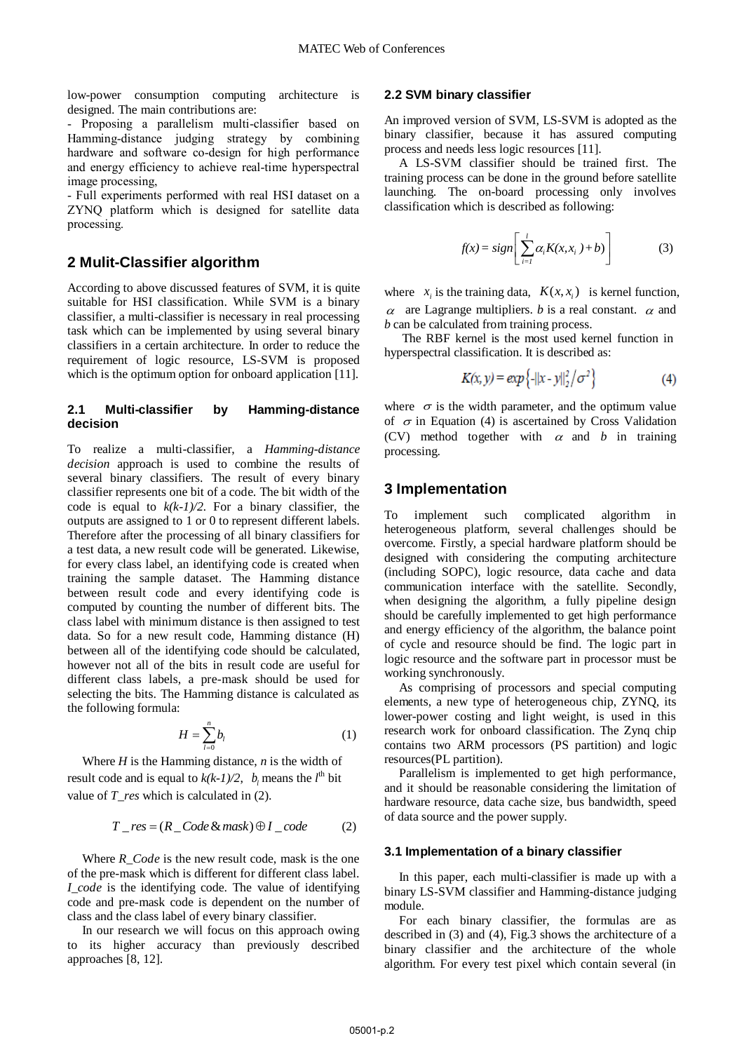low-power consumption computing architecture is designed. The main contributions are:

- Proposing a parallelism multi-classifier based on Hamming-distance judging strategy by combining hardware and software co-design for high performance and energy efficiency to achieve real-time hyperspectral image processing,

- Full experiments performed with real HSI dataset on a ZYNQ platform which is designed for satellite data processing.

# **2 Mulit-Classifier algorithm**

According to above discussed features of SVM, it is quite suitable for HSI classification. While SVM is a binary classifier, a multi-classifier is necessary in real processing task which can be implemented by using several binary classifiers in a certain architecture. In order to reduce the requirement of logic resource, LS-SVM is proposed which is the optimum option for onboard application [11].

### **2.1 Multi-classifier by Hamming-distance decision**

To realize a multi-classifier, a *Hamming-distance decision* approach is used to combine the results of several binary classifiers. The result of every binary classifier represents one bit of a code. The bit width of the code is equal to  $k(k-1)/2$ . For a binary classifier, the outputs are assigned to 1 or 0 to represent different labels. Therefore after the processing of all binary classifiers for a test data, a new result code will be generated. Likewise, for every class label, an identifying code is created when training the sample dataset. The Hamming distance between result code and every identifying code is computed by counting the number of different bits. The class label with minimum distance is then assigned to test data. So for a new result code, Hamming distance (H) between all of the identifying code should be calculated, however not all of the bits in result code are useful for different class labels, a pre-mask should be used for selecting the bits. The Hamming distance is calculated as the following formula:

$$
H = \sum_{l=0}^{n} b_l \tag{1}
$$

Where  $H$  is the Hamming distance,  $n$  is the width of result code and is equal to  $k(k-1)/2$ ,  $b_l$  means the  $l^{\text{th}}$  bit value of *T\_res* which is calculated in (2).

$$
T_{\text{res}} = (R_{\text{1}}\text{Code } \& \text{mask}) \oplus I_{\text{2}}\text{code} \tag{2}
$$

Where *R\_Code* is the new result code, mask is the one of the pre-mask which is different for different class label. *I* code is the identifying code. The value of identifying code and pre-mask code is dependent on the number of class and the class label of every binary classifier.

In our research we will focus on this approach owing to its higher accuracy than previously described approaches [8, 12].

### **2.2 SVM binary classifier**

An improved version of SVM, LS-SVM is adopted as the binary classifier, because it has assured computing process and needs less logic resources [11].

A LS-SVM classifier should be trained first. The training process can be done in the ground before satellite launching. The on-board processing only involves classification which is described as following:

$$
f(x) = sign\left[\sum_{i=1}^{l} \alpha_i K(x, x_i) + b\right]
$$
 (3)

where  $x_i$  is the training data,  $K(x, x_i)$  is kernel function,  $\alpha$  are Lagrange multipliers. *b* is a real constant.  $\alpha$  and *b* can be calculated from training process.

The RBF kernel is the most used kernel function in hyperspectral classification. It is described as:

$$
K(x, y) = exp\{-||x - y||_2^2 / \sigma^2\}
$$
 (4)

where  $\sigma$  is the width parameter, and the optimum value of  $\sigma$  in Equation (4) is ascertained by Cross Validation (CV) method together with  $\alpha$  and  $\beta$  in training processing.

### **3 Implementation**

To implement such complicated algorithm in heterogeneous platform, several challenges should be overcome. Firstly, a special hardware platform should be designed with considering the computing architecture (including SOPC), logic resource, data cache and data communication interface with the satellite. Secondly, when designing the algorithm, a fully pipeline design should be carefully implemented to get high performance and energy efficiency of the algorithm, the balance point of cycle and resource should be find. The logic part in logic resource and the software part in processor must be working synchronously.

As comprising of processors and special computing elements, a new type of heterogeneous chip, ZYNQ, its lower-power costing and light weight, is used in this research work for onboard classification. The Zynq chip contains two ARM processors (PS partition) and logic resources(PL partition).

Parallelism is implemented to get high performance, and it should be reasonable considering the limitation of hardware resource, data cache size, bus bandwidth, speed of data source and the power supply.

#### **3.1 Implementation of a binary classifier**

In this paper, each multi-classifier is made up with a binary LS-SVM classifier and Hamming-distance judging module.

For each binary classifier, the formulas are as described in (3) and (4), Fig.3 shows the architecture of a binary classifier and the architecture of the whole algorithm. For every test pixel which contain several (in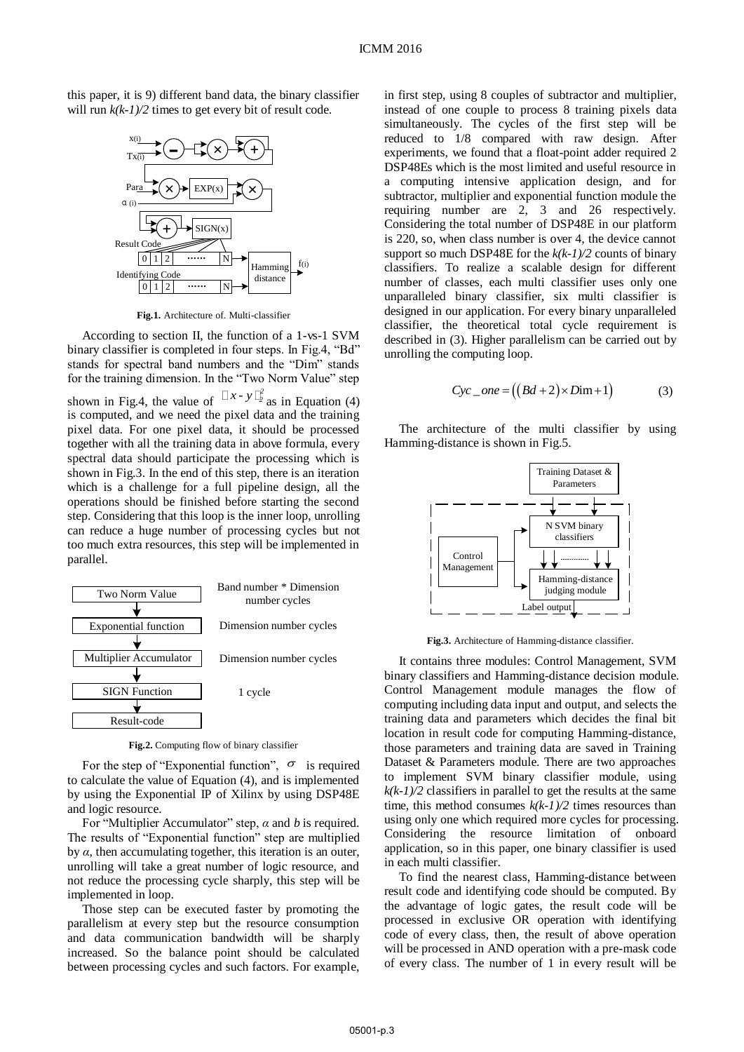this paper, it is 9) different band data, the binary classifier will run *k(k-1)/2* times to get every bit of result code.



**Fig.1.** Architecture of. Multi-classifier

According to section II, the function of a 1-vs-1 SVM binary classifier is completed in four steps. In Fig.4, "Bd" stands for spectral band numbers and the "Dim" stands for the training dimension. In the "Two Norm Value" step shown in Fig.4, the value of  $\left[ x - y \right]_2^2$  as in Equation (4) is computed, and we need the pixel data and the training pixel data. For one pixel data, it should be processed together with all the training data in above formula, every spectral data should participate the processing which is shown in Fig.3. In the end of this step, there is an iteration which is a challenge for a full pipeline design, all the operations should be finished before starting the second step. Considering that this loop is the inner loop, unrolling can reduce a huge number of processing cycles but not too much extra resources, this step will be implemented in parallel.



**Fig.2.** Computing flow of binary classifier

For the step of "Exponential function",  $\sigma$  is required to calculate the value of Equation (4), and is implemented by using the Exponential IP of Xilinx by using DSP48E and logic resource.

For "Multiplier Accumulator" step, *α* and *b* is required. The results of "Exponential function" step are multiplied by  $\alpha$ , then accumulating together, this iteration is an outer, unrolling will take a great number of logic resource, and not reduce the processing cycle sharply, this step will be implemented in loop.

Those step can be executed faster by promoting the parallelism at every step but the resource consumption and data communication bandwidth will be sharply increased. So the balance point should be calculated between processing cycles and such factors. For example,

in first step, using 8 couples of subtractor and multiplier, instead of one couple to process 8 training pixels data simultaneously. The cycles of the first step will be reduced to 1/8 compared with raw design. After experiments, we found that a float-point adder required 2 DSP48Es which is the most limited and useful resource in a computing intensive application design, and for subtractor, multiplier and exponential function module the requiring number are 2, 3 and 26 respectively. Considering the total number of DSP48E in our platform is 220, so, when class number is over 4, the device cannot support so much DSP48E for the *k(k-1)/2* counts of binary classifiers. To realize a scalable design for different number of classes, each multi classifier uses only one unparalleled binary classifier, six multi classifier is designed in our application. For every binary unparalleled classifier, the theoretical total cycle requirement is described in (3). Higher parallelism can be carried out by unrolling the computing loop.

$$
Cyc\_one = ((Bd + 2) \times Dim + 1)
$$
 (3)

The architecture of the multi classifier by using Hamming-distance is shown in Fig.5.



**Fig.3.** Architecture of Hamming-distance classifier.

It contains three modules: Control Management, SVM binary classifiers and Hamming-distance decision module. Control Management module manages the flow of computing including data input and output, and selects the training data and parameters which decides the final bit location in result code for computing Hamming-distance, those parameters and training data are saved in Training Dataset & Parameters module. There are two approaches to implement SVM binary classifier module, using  $k(k-1)/2$  classifiers in parallel to get the results at the same time, this method consumes  $k(k-1)/2$  times resources than using only one which required more cycles for processing. Considering the resource limitation of onboard application, so in this paper, one binary classifier is used in each multi classifier.

To find the nearest class, Hamming-distance between result code and identifying code should be computed. By the advantage of logic gates, the result code will be processed in exclusive OR operation with identifying code of every class, then, the result of above operation will be processed in AND operation with a pre-mask code of every class. The number of 1 in every result will be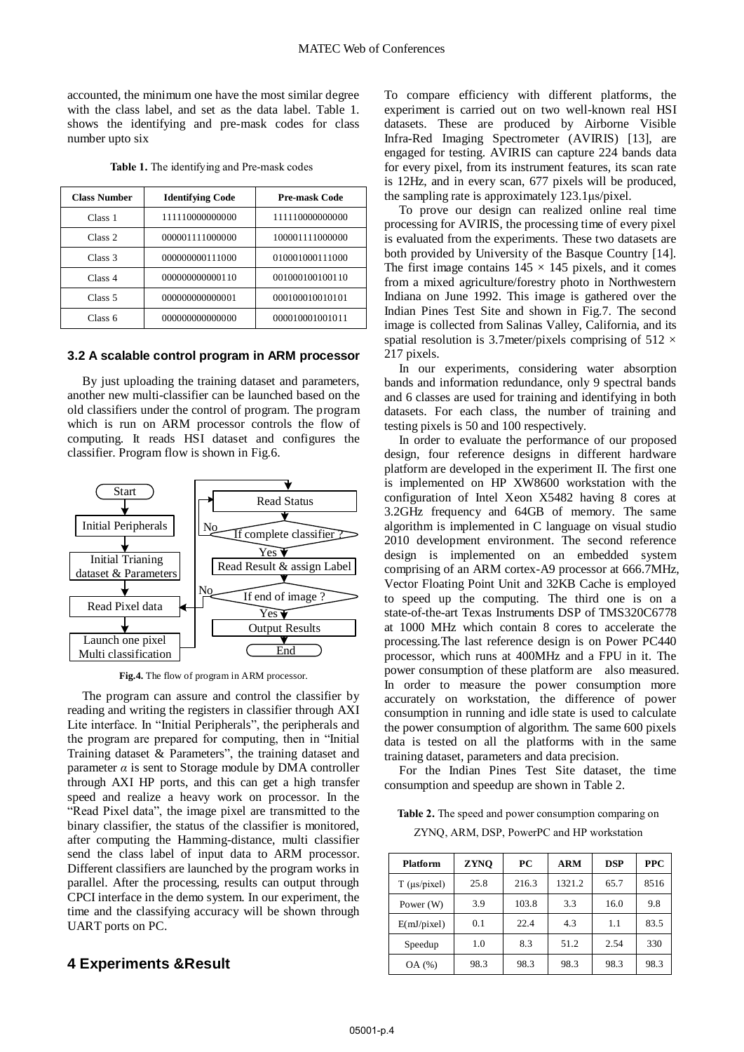accounted, the minimum one have the most similar degree with the class label, and set as the data label. Table 1. shows the identifying and pre-mask codes for class number upto six

| <b>Class Number</b> | <b>Identifying Code</b> | <b>Pre-mask Code</b> |  |
|---------------------|-------------------------|----------------------|--|
| Class 1             | 111110000000000         | 111110000000000      |  |
| Class 2             | 000001111000000         | 100001111000000      |  |
| Class 3             | 000000000111000         | 010001000111000      |  |
| Class 4             | 000000000000110         | 001000100100110      |  |
| Class <sub>5</sub>  | 000000000000001         | 000100010010101      |  |
| Class 6             | 000000000000000         | 000010001001011      |  |

**Table 1.** The identifying and Pre-mask codes

#### **3.2 A scalable control program in ARM processor**

By just uploading the training dataset and parameters, another new multi-classifier can be launched based on the old classifiers under the control of program. The program which is run on ARM processor controls the flow of computing. It reads HSI dataset and configures the classifier. Program flow is shown in Fig.6.



**Fig.4.** The flow of program in ARM processor.

The program can assure and control the classifier by reading and writing the registers in classifier through AXI Lite interface. In "Initial Peripherals", the peripherals and the program are prepared for computing, then in "Initial Training dataset & Parameters", the training dataset and parameter  $\alpha$  is sent to Storage module by DMA controller through AXI HP ports, and this can get a high transfer speed and realize a heavy work on processor. In the "Read Pixel data", the image pixel are transmitted to the binary classifier, the status of the classifier is monitored, after computing the Hamming-distance, multi classifier send the class label of input data to ARM processor. Different classifiers are launched by the program works in parallel. After the processing, results can output through CPCI interface in the demo system. In our experiment, the time and the classifying accuracy will be shown through UART ports on PC.

# **4 Experiments &Result**

To compare efficiency with different platforms, the experiment is carried out on two well-known real HSI datasets. These are produced by Airborne Visible Infra-Red Imaging Spectrometer (AVIRIS) [13], are engaged for testing. AVIRIS can capture 224 bands data for every pixel, from its instrument features, its scan rate is 12Hz, and in every scan, 677 pixels will be produced, the sampling rate is approximately 123.1μs/pixel.

To prove our design can realized online real time processing for AVIRIS, the processing time of every pixel is evaluated from the experiments. These two datasets are both provided by University of the Basque Country [14]. The first image contains  $145 \times 145$  pixels, and it comes from a mixed agriculture/forestry photo in Northwestern Indiana on June 1992. This image is gathered over the Indian Pines Test Site and shown in Fig.7. The second image is collected from Salinas Valley, California, and its spatial resolution is 3.7 meter/pixels comprising of 512  $\times$ 217 pixels.

In our experiments, considering water absorption bands and information redundance, only 9 spectral bands and 6 classes are used for training and identifying in both datasets. For each class, the number of training and testing pixels is 50 and 100 respectively.

In order to evaluate the performance of our proposed design, four reference designs in different hardware platform are developed in the experiment II. The first one is implemented on HP XW8600 workstation with the configuration of Intel Xeon X5482 having 8 cores at 3.2GHz frequency and 64GB of memory. The same algorithm is implemented in C language on visual studio 2010 development environment. The second reference design is implemented on an embedded system comprising of an ARM cortex-A9 processor at 666.7MHz, Vector Floating Point Unit and 32KB Cache is employed to speed up the computing. The third one is on a state-of-the-art Texas Instruments DSP of TMS320C6778 at 1000 MHz which contain 8 cores to accelerate the processing.The last reference design is on Power PC440 processor, which runs at 400MHz and a FPU in it. The power consumption of these platform are also measured. In order to measure the power consumption more accurately on workstation, the difference of power consumption in running and idle state is used to calculate the power consumption of algorithm. The same 600 pixels data is tested on all the platforms with in the same training dataset, parameters and data precision.

For the Indian Pines Test Site dataset, the time consumption and speedup are shown in Table 2.

**Table 2.** The speed and power consumption comparing on

ZYNQ, ARM, DSP, PowerPC and HP workstation

| <b>Platform</b>       | <b>ZYNO</b> | PC    | <b>ARM</b> | <b>DSP</b> | <b>PPC</b> |
|-----------------------|-------------|-------|------------|------------|------------|
| $T$ ( $\mu s$ /pixel) | 25.8        | 216.3 | 1321.2     | 65.7       | 8516       |
| Power $(W)$           | 3.9         | 103.8 | 3.3        | 16.0       | 9.8        |
| E(mJ/pixel)           | 0.1         | 22.4  | 4.3        | 1.1        | 83.5       |
| Speedup               | 1.0         | 8.3   | 51.2       | 2.54       | 330        |
| OA (%)                | 98.3        | 98.3  | 98.3       | 98.3       | 98.3       |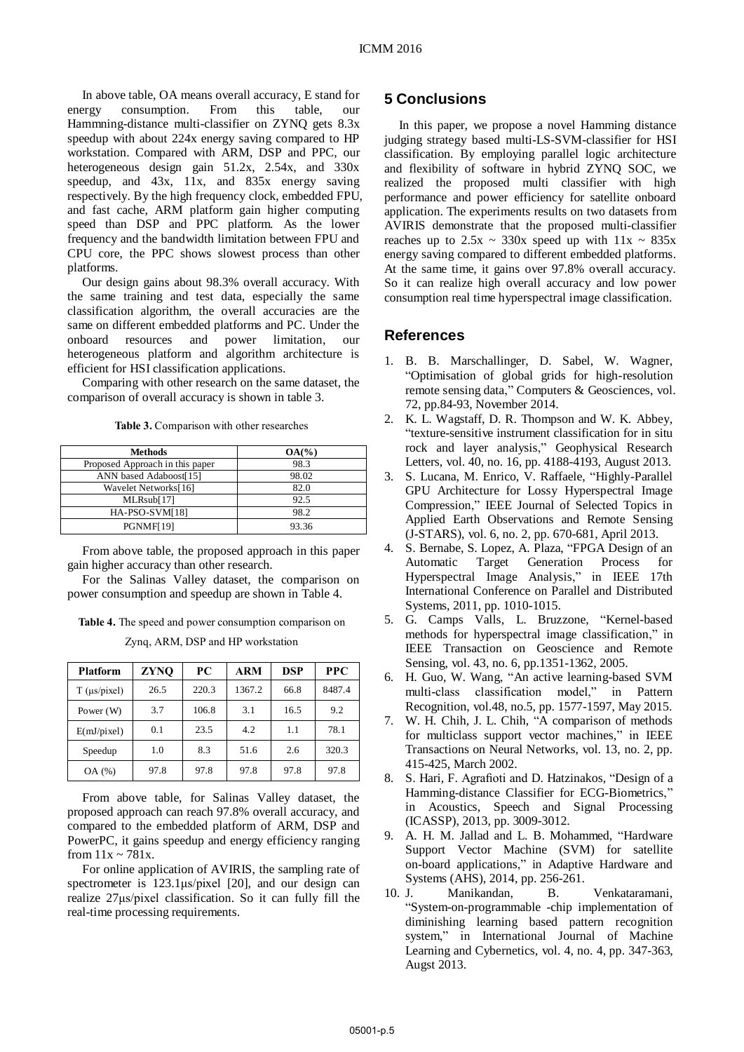In above table, OA means overall accuracy, E stand for energy consumption. From this table, our Hammning-distance multi-classifier on ZYNQ gets 8.3x speedup with about 224x energy saving compared to HP workstation. Compared with ARM, DSP and PPC, our heterogeneous design gain 51.2x, 2.54x, and 330x speedup, and 43x, 11x, and 835x energy saving respectively. By the high frequency clock, embedded FPU, and fast cache, ARM platform gain higher computing speed than DSP and PPC platform. As the lower frequency and the bandwidth limitation between FPU and CPU core, the PPC shows slowest process than other platforms.

Our design gains about 98.3% overall accuracy. With the same training and test data, especially the same classification algorithm, the overall accuracies are the same on different embedded platforms and PC. Under the onboard resources and power limitation, our heterogeneous platform and algorithm architecture is efficient for HSI classification applications.

Comparing with other research on the same dataset, the comparison of overall accuracy is shown in table 3.

**Table 3.** Comparison with other researches

| <b>Methods</b>                  | $OA(\%)$ |
|---------------------------------|----------|
| Proposed Approach in this paper | 98.3     |
| ANN based Adaboost[15]          | 98.02    |
| Wavelet Networks[16]            | 82.0     |
| MLRsub[17]                      | 92.5     |
| HA-PSO-SVM[18]                  | 98.2     |
| PGNMF[19]                       | 93.36    |

From above table, the proposed approach in this paper gain higher accuracy than other research.

For the Salinas Valley dataset, the comparison on power consumption and speedup are shown in Table 4.

**Table 4.** The speed and power consumption comparison on

Zynq, ARM, DSP and HP workstation

| <b>Platform</b>            | <b>ZYNO</b> | <b>PC</b> | <b>ARM</b> | <b>DSP</b> | <b>PPC</b> |
|----------------------------|-------------|-----------|------------|------------|------------|
| $T$ ( $\mu$ s/ $\pi$ ixel) | 26.5        | 220.3     | 1367.2     | 66.8       | 8487.4     |
| Power $(W)$                | 3.7         | 106.8     | 3.1        | 16.5       | 9.2        |
| E(mJ/pixel)                | 0.1         | 23.5      | 4.2        | 1.1        | 78.1       |
| Speedup                    | 1.0         | 8.3       | 51.6       | 2.6        | 320.3      |
| OA (%)                     | 97.8        | 97.8      | 97.8       | 97.8       | 97.8       |

From above table, for Salinas Valley dataset, the proposed approach can reach 97.8% overall accuracy, and compared to the embedded platform of ARM, DSP and PowerPC, it gains speedup and energy efficiency ranging from  $11x \sim 781x$ .

For online application of AVIRIS, the sampling rate of spectrometer is 123.1μs/pixel [20], and our design can realize 27μs/pixel classification. So it can fully fill the real-time processing requirements.

### **5 Conclusions**

In this paper, we propose a novel Hamming distance judging strategy based multi-LS-SVM-classifier for HSI classification. By employing parallel logic architecture and flexibility of software in hybrid ZYNQ SOC, we realized the proposed multi classifier with high performance and power efficiency for satellite onboard application. The experiments results on two datasets from AVIRIS demonstrate that the proposed multi-classifier reaches up to  $2.5x \sim 330x$  speed up with  $11x \sim 835x$ energy saving compared to different embedded platforms. At the same time, it gains over 97.8% overall accuracy. So it can realize high overall accuracy and low power consumption real time hyperspectral image classification.

### **References**

- 1. B. B. Marschallinger, D. Sabel, W. Wagner, "Optimisation of global grids for high-resolution remote sensing data," Computers & Geosciences, vol. 72, pp.84-93, November 2014.
- 2. K. L. Wagstaff, D. R. Thompson and W. K. Abbey, "texture-sensitive instrument classification for in situ rock and layer analysis," Geophysical Research Letters, vol. 40, no. 16, pp. 4188-4193, August 2013.
- 3. S. Lucana, M. Enrico, V. Raffaele, "Highly-Parallel GPU Architecture for Lossy Hyperspectral Image Compression," IEEE Journal of Selected Topics in Applied Earth Observations and Remote Sensing (J-STARS), vol. 6, no. 2, pp. 670-681, April 2013.
- 4. S. Bernabe, S. Lopez, A. Plaza, "FPGA Design of an Automatic Target Generation Process for Hyperspectral Image Analysis," in IEEE 17th International Conference on Parallel and Distributed Systems, 2011, pp. 1010-1015.
- 5. G. Camps Valls, L. Bruzzone, "Kernel-based methods for hyperspectral image classification," in IEEE Transaction on Geoscience and Remote Sensing, vol. 43, no. 6, pp.1351-1362, 2005.
- 6. H. Guo, W. Wang, "An active learning-based SVM multi-class classification model," in Pattern Recognition, vol.48, no.5, pp. 1577-1597, May 2015.
- 7. W. H. Chih, J. L. Chih, "A comparison of methods for multiclass support vector machines," in IEEE Transactions on Neural Networks, vol. 13, no. 2, pp. 415-425, March 2002.
- 8. S. Hari, F. Agrafioti and D. Hatzinakos, "Design of a Hamming-distance Classifier for ECG-Biometrics," in [Acoustics, Speech and Signal Processing](http://ieeexplore.ieee.org/xpl/mostRecentIssue.jsp?punumber=6619549)  [\(ICASSP\),](http://ieeexplore.ieee.org/xpl/mostRecentIssue.jsp?punumber=6619549) 2013, pp. 3009-3012.
- 9. A. H. M. Jallad and L. B. Mohammed, "Hardware Support Vector Machine (SVM) for satellite on-board applications," in Adaptive Hardware and Systems (AHS), 2014, pp. 256-261.
- 10. J. Manikandan, B. Venkataramani, "System-on-programmable -chip implementation of diminishing learning based pattern recognition system," in International Journal of Machine Learning and Cybernetics, vol. 4, no. 4, pp. 347-363, Augst 2013.